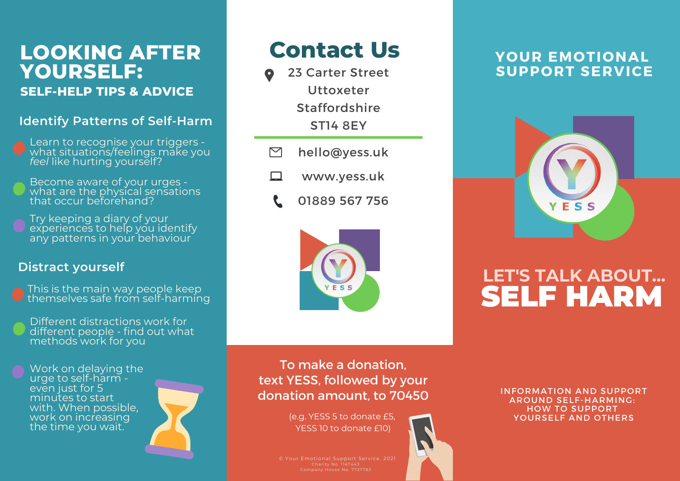### **LOOKING AFTER YOURSELF: SELF-HELP TIPS & ADVICE**

#### **Identify Patterns of Self-Harm**

- Learn to recognise your triggers what situations/feelings make you *feel* like hurting yourself?
- Become aware of your urges what are the physical sensations that occur beforehand?
- Try keeping a diary of your experiences to help you identify any patterns in your behaviour

#### **Distract yourself**

- This is the main way people keep themselves safe from self-harming
- Different distractions work for different people - find out what methods work for you

Work on delaying the urge to self-harm even just for 5 minutes to start with. When possible, work on increasing the time you wait.



### **Contact Us**

- 23 Carter Street Uttoxeter Staffordshire ST14 8EY
- $\triangleright$ hello@yess.uk
- www.yess.uk □
	- 01889 567 756



### **YOUR EMOTIONAL SUPPORT SERVICE**



### **LET'S TALK ABOUT...** SELF HARM

To make a donation, text YESS, followed by your donation amount, to 70450

> (e.g. YESS 5 to donate £5, YESS 10 to donate £10)

INFORMATION AND SUPPORT AROUND SELF-HARMING: HOW TO SUPPORT YOURSELF AND OTHERS

© Your Emotional Support Service, 2021